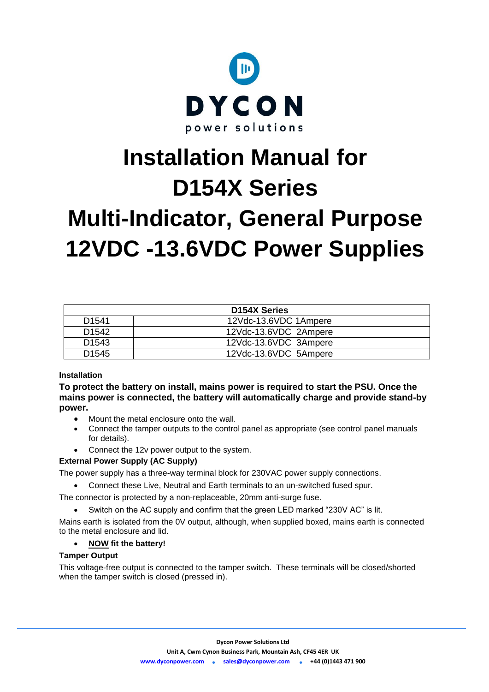

# **Installation Manual for D154X Series Multi-Indicator, General Purpose 12VDC -13.6VDC Power Supplies**

| <b>D154X Series</b> |                       |  |  |
|---------------------|-----------------------|--|--|
| D <sub>1541</sub>   | 12Vdc-13.6VDC 1Ampere |  |  |
| D <sub>1542</sub>   | 12Vdc-13.6VDC 2Ampere |  |  |
| D <sub>1543</sub>   | 12Vdc-13.6VDC 3Ampere |  |  |
| D <sub>1545</sub>   | 12Vdc-13.6VDC 5Ampere |  |  |

# **Installation**

**To protect the battery on install, mains power is required to start the PSU. Once the mains power is connected, the battery will automatically charge and provide stand-by power.**

- Mount the metal enclosure onto the wall.
- Connect the tamper outputs to the control panel as appropriate (see control panel manuals for details).
- Connect the 12v power output to the system.

# **External Power Supply (AC Supply)**

The power supply has a three-way terminal block for 230VAC power supply connections.

• Connect these Live, Neutral and Earth terminals to an un-switched fused spur.

The connector is protected by a non-replaceable, 20mm anti-surge fuse.

• Switch on the AC supply and confirm that the green LED marked "230V AC" is lit.

Mains earth is isolated from the 0V output, although, when supplied boxed, mains earth is connected to the metal enclosure and lid.

# • **NOW fit the battery!**

# **Tamper Output**

This voltage-free output is connected to the tamper switch. These terminals will be closed/shorted when the tamper switch is closed (pressed in).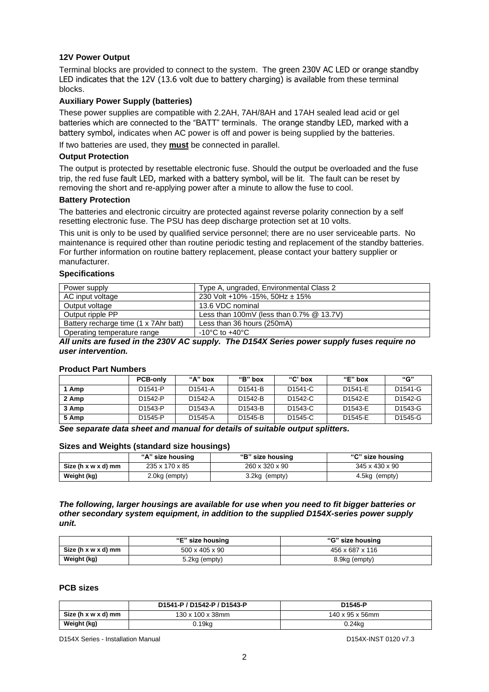# **12V Power Output**

Terminal blocks are provided to connect to the system. The green 230V AC LED or orange standby LED indicates that the 12V (13.6 volt due to battery charging) is available from these terminal blocks.

## **Auxiliary Power Supply (batteries)**

These power supplies are compatible with 2.2AH, 7AH/8AH and 17AH sealed lead acid or gel batteries which are connected to the "BATT" terminals. The orange standby LED, marked with a battery symbol, indicates when AC power is off and power is being supplied by the batteries.

If two batteries are used, they **must** be connected in parallel.

#### **Output Protection**

The output is protected by resettable electronic fuse. Should the output be overloaded and the fuse trip, the red fuse fault LED, marked with a battery symbol, will be lit. The fault can be reset by removing the short and re-applying power after a minute to allow the fuse to cool.

## **Battery Protection**

The batteries and electronic circuitry are protected against reverse polarity connection by a self resetting electronic fuse. The PSU has deep discharge protection set at 10 volts.

This unit is only to be used by qualified service personnel; there are no user serviceable parts. No maintenance is required other than routine periodic testing and replacement of the standby batteries. For further information on routine battery replacement, please contact your battery supplier or manufacturer.

#### **Specifications**

| Power supply                          | Type A, ungraded, Environmental Class 2     |
|---------------------------------------|---------------------------------------------|
| AC input voltage                      | 230 Volt +10% -15%, 50Hz $\pm$ 15%          |
| Output voltage                        | 13.6 VDC nominal                            |
| Output ripple PP                      | Less than 100mV (less than $0.7\%$ @ 13.7V) |
| Battery recharge time (1 x 7Ahr batt) | Less than 36 hours (250mA)                  |
| Operating temperature range           | $-10^{\circ}$ C to $+40^{\circ}$ C          |

*All units are fused in the 230V AC supply. The D154X Series power supply fuses require no user intervention.* 

## **Product Part Numbers**

|       | <b>PCB-only</b>      | "A" box              | "B" box              | " $C$ " box          | "E" box | "G"                  |
|-------|----------------------|----------------------|----------------------|----------------------|---------|----------------------|
| 1 Amp | D <sub>1541-P</sub>  | D <sub>1541</sub> -A | D <sub>1541</sub> -B | D <sub>1541</sub> -C | D1541-E | D <sub>1541</sub> -G |
| 2 Amp | D <sub>1542-P</sub>  | D <sub>1542</sub> -A | D <sub>1542</sub> -B | D <sub>1542</sub> -C | D1542-E | D1542-G              |
| 3 Amp | D <sub>1543</sub> -P | D <sub>1543</sub> -A | D <sub>1543</sub> -B | D <sub>1543</sub> -C | D1543-E | D1543-G              |
| 5 Amp | D <sub>1545</sub> -P | D <sub>1545</sub> -A | D <sub>1545</sub> -B | D <sub>1545</sub> -C | D1545-E | D1545-G              |

## *See separate data sheet and manual for details of suitable output splitters.*

#### **Sizes and Weights (standard size housings)**

|                     | "A" size housing | "B" size housing | "C" size housing |
|---------------------|------------------|------------------|------------------|
| Size (h x w x d) mm | 235 x 170 x 85   | 260 x 320 x 90   | 345 x 430 x 90   |
| Weight (kg)         | 2.0kg (empty)    | 3.2kg (empty)    | 4.5kg (empty)    |

*The following, larger housings are available for use when you need to fit bigger batteries or other secondary system equipment, in addition to the supplied D154X-series power supply unit.*

|                     | "E" size housing           | "G" size housing |
|---------------------|----------------------------|------------------|
| Size (h x w x d) mm | $500 \times 405 \times 90$ | 456 x 687 x 116  |
| Weight (kg)         | 5.2kg (empty)              | 8.9kg (empty)    |

#### **PCB sizes**

|                     | D1541-P / D1542-P / D1543-P | D1545-P         |  |
|---------------------|-----------------------------|-----------------|--|
| Size (h x w x d) mm | 130 x 100 x 38mm            | 140 x 95 x 56mm |  |
| Weight (kg)         | $0.19$ kg                   | 0.24kg          |  |

D154X Series - Installation Manual D154X-INST 0120 v7.3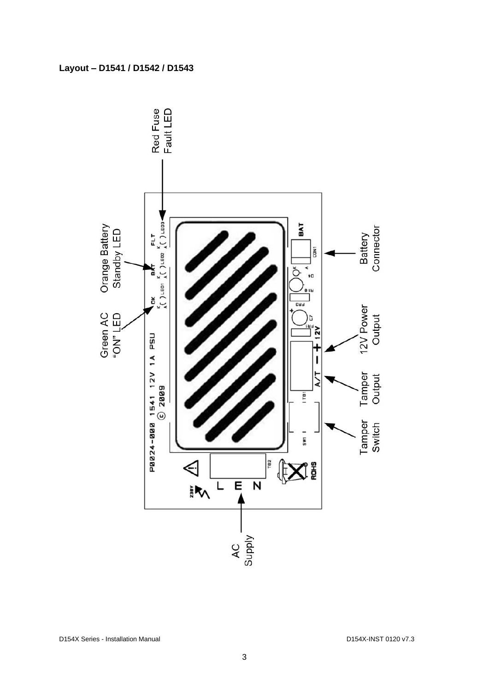